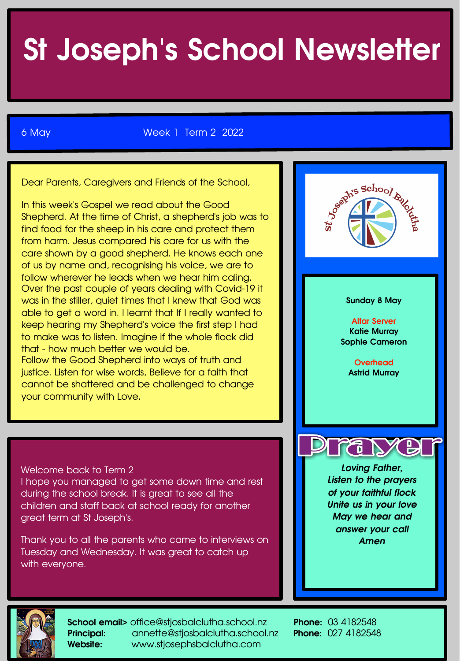# St Joseph's School Newsletter

6 May Week 1 Term 2 2022

Dear Parents, Caregivers and Friends of the School,

In this week's Gospel we read about the Good Shepherd. At the time of Christ, a shepherd's job was to find food for the sheep in his care and protect them from harm. Jesus compared his care for us with the care shown by a good shepherd. He knows each one of us by name and, recognising his voice, we are to follow wherever he leads when we hear him caling. Over the past couple of years dealing with Covid-19 it was in the stiller, quiet times that I knew that God was able to get a word in. I learnt that If I really wanted to keep hearing my Shepherd's voice the first step I had to make was to listen. Imagine if the whole flock did that - how much better we would be. Follow the Good Shepherd into ways of truth and justice. Listen for wise words, Believe for a faith that cannot be shattered and be challenged to change your community with Love.

Welcome back to Term 2

I hope you managed to get some down time and rest during the school break. It is great to see all the children and staff back at school ready for another great term at St Joseph's.

Thank you to all the parents who came to interviews on Tuesday and Wednesday. It was great to catch up with everyone.





School email> office@stjosbalclutha.school.nz Phone: 03 4182548 Principal: annette@stjosbalclutha.school.nz Phone: 027 4182548 Website: www.stjosephsbalclutha.com